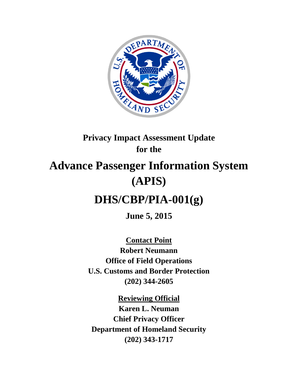

## **Privacy Impact Assessment Update for the**

# **Advance Passenger Information System (APIS)**

## **DHS/CBP/PIA-001(g)**

**June 5, 2015**

**Contact Point Robert Neumann Office of Field Operations U.S. Customs and Border Protection (202) 344-2605**

**Reviewing Official Karen L. Neuman Chief Privacy Officer Department of Homeland Security (202) 343-1717**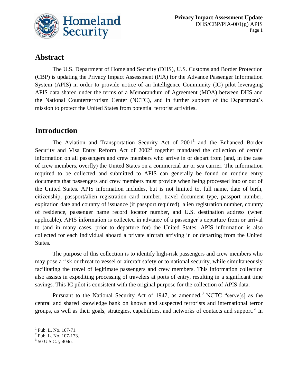

## **Abstract**

The U.S. Department of Homeland Security (DHS), U.S. Customs and Border Protection (CBP) is updating the Privacy Impact Assessment (PIA) for the Advance Passenger Information System (APIS) in order to provide notice of an Intelligence Community (IC) pilot leveraging APIS data shared under the terms of a Memorandum of Agreement (MOA) between DHS and the National Counterterrorism Center (NCTC), and in further support of the Department's mission to protect the United States from potential terrorist activities.

## **Introduction**

The Aviation and Transportation Security Act of  $2001<sup>1</sup>$  and the Enhanced Border Security and Visa Entry Reform Act of  $2002<sup>2</sup>$  together mandated the collection of certain information on all passengers and crew members who arrive in or depart from (and, in the case of crew members, overfly) the United States on a commercial air or sea carrier. The information required to be collected and submitted to APIS can generally be found on routine entry documents that passengers and crew members must provide when being processed into or out of the United States. APIS information includes, but is not limited to, full name, date of birth, citizenship, passport/alien registration card number, travel document type, passport number, expiration date and country of issuance (if passport required), alien registration number, country of residence, passenger name record locator number, and U.S. destination address (when applicable). APIS information is collected in advance of a passenger's departure from or arrival to (and in many cases, prior to departure for) the United States. APIS information is also collected for each individual aboard a private aircraft arriving in or departing from the United States.

The purpose of this collection is to identify high-risk passengers and crew members who may pose a risk or threat to vessel or aircraft safety or to national security, while simultaneously facilitating the travel of legitimate passengers and crew members. This information collection also assists in expediting processing of travelers at ports of entry, resulting in a significant time savings. This IC pilot is consistent with the original purpose for the collection of APIS data.

Pursuant to the National Security Act of 1947, as amended,<sup>3</sup> NCTC "serve<sup>[5]</sup> as the central and shared knowledge bank on known and suspected terrorists and international terror groups, as well as their goals, strategies, capabilities, and networks of contacts and support." In

<sup>&</sup>lt;sup>1</sup> Pub. L. No. 107-71.

<sup>&</sup>lt;sup>2</sup> Pub. L. No. 107-173.

 $3$  50 U.S.C. § 404o.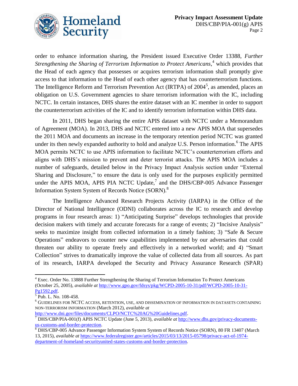

order to enhance information sharing, the President issued Executive Order 13388, *Further Strengthening the Sharing of Terrorism Information to Protect Americans*, <sup>4</sup> which provides that the Head of each agency that possesses or acquires terrorism information shall promptly give access to that information to the Head of each other agency that has counterterrorism functions. The Intelligence Reform and Terrorism Prevention Act (IRTPA) of 2004<sup>5</sup>, as amended, places an obligation on U.S. Government agencies to share terrorism information with the IC, including NCTC. In certain instances, DHS shares the entire dataset with an IC member in order to support the counterterrorism activities of the IC and to identify terrorism information within DHS data.

In 2011, DHS began sharing the entire APIS dataset with NCTC under a Memorandum of Agreement (MOA). In 2013, DHS and NCTC entered into a new APIS MOA that supersedes the 2011 MOA and documents an increase in the temporary retention period NCTC was granted under its then newly expanded authority to hold and analyze U.S. Person information. <sup>6</sup> The APIS MOA permits NCTC to use APIS information to facilitate NCTC's counterterrorism efforts and aligns with DHS's mission to prevent and deter terrorist attacks. The APIS MOA includes a number of safeguards, detailed below in the Privacy Impact Analysis section under "External Sharing and Disclosure," to ensure the data is only used for the purposes explicitly permitted under the APIS MOA, APIS PIA NCTC Update, $^7$  and the DHS/CBP-005 Advance Passenger Information System System of Records Notice (SORN).<sup>8</sup>

The Intelligence Advanced Research Projects Activity (IARPA) in the Office of the Director of National Intelligence (ODNI) collaborates across the IC to research and develop programs in four research areas: 1) "Anticipating Surprise" develops technologies that provide decision makers with timely and accurate forecasts for a range of events; 2) "Incisive Analysis" seeks to maximize insight from collected information in a timely fashion; 3) "Safe & Secure Operations" endeavors to counter new capabilities implemented by our adversaries that could threaten our ability to operate freely and effectively in a networked world; and 4) "Smart Collection" strives to dramatically improve the value of collected data from all sources. As part of its research, IARPA developed the Security and Privacy Assurance Research (SPAR)

[http://www.dni.gov/files/documents/CLPO/NCTC%20AG%20Guidelines.pdf.](http://www.dni.gov/files/documents/CLPO/NCTC%20AG%20Guidelines.pdf)

 $\overline{a}$ <sup>4</sup> Exec. Order No. 13888 Further Strengthening the Sharing of Terrorism Information To Protect Americans (October 25, 2005), *available at* [http://www.gpo.gov/fdsys/pkg/WCPD-2005-10-31/pdf/WCPD-2005-10-31-](http://www.gpo.gov/fdsys/pkg/WCPD-2005-10-31/pdf/WCPD-2005-10-31-Pg1592.pdf)

<sup>&</sup>lt;u>Pg1592.pdf</u>.<br><sup>5</sup> Pub. L. No. 108-458.

 $^6$  GUIDELINES FOR NCTC ACCESS, RETENTION, USE, AND DISSEMINATION OF INFORMATION IN DATASETS CONTAINING NON-TERRORISM INFORMATION (March 2012), *available at* 

<sup>7</sup> DHS/CBP/PIA-001(f) APIS NCTC Update (June 5, 2013), *available at* [http://www.dhs.gov/privacy-documents](http://www.dhs.gov/privacy-documents-us-customs-and-border-protection)[us-customs-and-border-protection.](http://www.dhs.gov/privacy-documents-us-customs-and-border-protection)

<sup>8</sup> DHS/CBP-005 Advance Passenger Information System System of Records Notice (SORN), 80 FR 13407 (March 13, 2015), *available at* [https://www.federalregister.gov/articles/2015/03/13/2015-05798/privacy-act-of-1974](https://www.federalregister.gov/articles/2015/03/13/2015-05798/privacy-act-of-1974-department-of-homeland-securityunited-states-customs-and-border-protection) [department-of-homeland-securityunited-states-customs-and-border-protection.](https://www.federalregister.gov/articles/2015/03/13/2015-05798/privacy-act-of-1974-department-of-homeland-securityunited-states-customs-and-border-protection)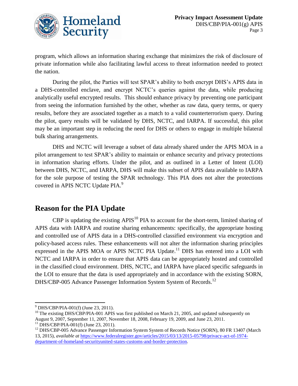

program, which allows an information sharing exchange that minimizes the risk of disclosure of private information while also facilitating lawful access to threat information needed to protect the nation.

During the pilot, the Parties will test SPAR's ability to both encrypt DHS's APIS data in a DHS-controlled enclave, and encrypt NCTC's queries against the data, while producing analytically useful encrypted results. This should enhance privacy by preventing one participant from seeing the information furnished by the other, whether as raw data, query terms, or query results, before they are associated together as a match to a valid counterterrorism query. During the pilot, query results will be validated by DHS, NCTC, and IARPA. If successful, this pilot may be an important step in reducing the need for DHS or others to engage in multiple bilateral bulk sharing arrangements.

DHS and NCTC will leverage a subset of data already shared under the APIS MOA in a pilot arrangement to test SPAR's ability to maintain or enhance security and privacy protections in information sharing efforts. Under the pilot, and as outlined in a Letter of Intent (LOI) between DHS, NCTC, and IARPA, DHS will make this subset of APIS data available to IARPA for the sole purpose of testing the SPAR technology. This PIA does not alter the protections covered in APIS NCTC Update PIA.<sup>9</sup>

## **Reason for the PIA Update**

CBP is updating the existing  $APIS<sup>10</sup> PIA$  to account for the short-term, limited sharing of APIS data with IARPA and routine sharing enhancements: specifically, the appropriate hosting and controlled use of APIS data in a DHS-controlled classified environment via encryption and policy-based access rules. These enhancements will not alter the information sharing principles expressed in the APIS MOA or APIS NCTC PIA Update.<sup>11</sup> DHS has entered into a LOI with NCTC and IARPA in order to ensure that APIS data can be appropriately hosted and controlled in the classified cloud environment. DHS, NCTC, and IARPA have placed specific safeguards in the LOI to ensure that the data is used appropriately and in accordance with the existing SORN, DHS/CBP-005 Advance Passenger Information System System of Records.<sup>12</sup>

 $\overline{a}$ 

 $^{9}$  DHS/CBP/PIA-001(f) (June 23, 2011).

 $10$  The existing DHS/CBP/PIA-001 APIS was first published on March 21, 2005, and updated subsequently on August 9, 2007, September 11, 2007, November 18, 2008, February 19, 2009, and June 23, 2011.

 $11$  DHS/CBP/PIA-001(f) (June 23, 2011).

<sup>&</sup>lt;sup>12</sup> DHS/CBP-005 Advance Passenger Information System System of Records Notice (SORN), 80 FR 13407 (March 13, 2015), *available at* [https://www.federalregister.gov/articles/2015/03/13/2015-05798/privacy-act-of-1974](https://www.federalregister.gov/articles/2015/03/13/2015-05798/privacy-act-of-1974-department-of-homeland-securityunited-states-customs-and-border-protection) [department-of-homeland-securityunited-states-customs-and-border-protection.](https://www.federalregister.gov/articles/2015/03/13/2015-05798/privacy-act-of-1974-department-of-homeland-securityunited-states-customs-and-border-protection)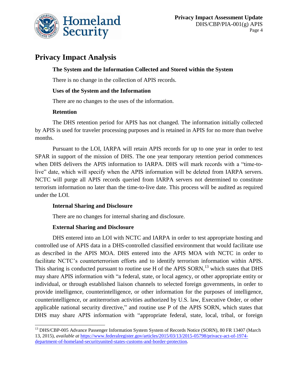

## **Privacy Impact Analysis**

#### **The System and the Information Collected and Stored within the System**

There is no change in the collection of APIS records.

#### **Uses of the System and the Information**

There are no changes to the uses of the information.

#### **Retention**

 $\overline{a}$ 

The DHS retention period for APIS has not changed. The information initially collected by APIS is used for traveler processing purposes and is retained in APIS for no more than twelve months.

Pursuant to the LOI, IARPA will retain APIS records for up to one year in order to test SPAR in support of the mission of DHS. The one year temporary retention period commences when DHS delivers the APIS information to IARPA. DHS will mark records with a "time-tolive" date, which will specify when the APIS information will be deleted from IARPA servers. NCTC will purge all APIS records queried from IARPA servers not determined to constitute terrorism information no later than the time-to-live date. This process will be audited as required under the LOI.

#### **Internal Sharing and Disclosure**

There are no changes for internal sharing and disclosure.

#### **External Sharing and Disclosure**

DHS entered into an LOI with NCTC and IARPA in order to test appropriate hosting and controlled use of APIS data in a DHS-controlled classified environment that would facilitate use as described in the APIS MOA. DHS entered into the APIS MOA with NCTC in order to facilitate NCTC's counterterrorism efforts and to identify terrorism information within APIS. This sharing is conducted pursuant to routine use H of the APIS  $SORN$ ,<sup>13</sup> which states that DHS may share APIS information with "a federal, state, or local agency, or other appropriate entity or individual, or through established liaison channels to selected foreign governments, in order to provide intelligence, counterintelligence, or other information for the purposes of intelligence, counterintelligence, or antiterrorism activities authorized by U.S. law, Executive Order, or other applicable national security directive," and routine use P of the APIS SORN, which states that DHS may share APIS information with "appropriate federal, state, local, tribal, or foreign

<sup>&</sup>lt;sup>13</sup> DHS/CBP-005 Advance Passenger Information System System of Records Notice (SORN), 80 FR 13407 (March 13, 2015), *available at* [https://www.federalregister.gov/articles/2015/03/13/2015-05798/privacy-act-of-1974](https://www.federalregister.gov/articles/2015/03/13/2015-05798/privacy-act-of-1974-department-of-homeland-securityunited-states-customs-and-border-protection) [department-of-homeland-securityunited-states-customs-and-border-protection.](https://www.federalregister.gov/articles/2015/03/13/2015-05798/privacy-act-of-1974-department-of-homeland-securityunited-states-customs-and-border-protection)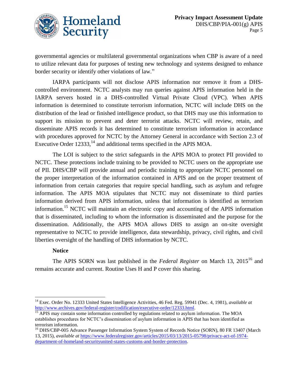

governmental agencies or multilateral governmental organizations when CBP is aware of a need to utilize relevant data for purposes of testing new technology and systems designed to enhance border security or identify other violations of law."

IARPA participants will not disclose APIS information nor remove it from a DHScontrolled environment. NCTC analysts may run queries against APIS information held in the IARPA servers hosted in a DHS-controlled Virtual Private Cloud (VPC). When APIS information is determined to constitute terrorism information, NCTC will include DHS on the distribution of the lead or finished intelligence product, so that DHS may use this information to support its mission to prevent and deter terrorist attacks. NCTC will review, retain, and disseminate APIS records it has determined to constitute terrorism information in accordance with procedures approved for NCTC by the Attorney General in accordance with Section 2.3 of Executive Order 12333,<sup>14</sup> and additional terms specified in the APIS MOA.

The LOI is subject to the strict safeguards in the APIS MOA to protect PII provided to NCTC. These protections include training to be provided to NCTC users on the appropriate use of PII. DHS/CBP will provide annual and periodic training to appropriate NCTC personnel on the proper interpretation of the information contained in APIS and on the proper treatment of information from certain categories that require special handling, such as asylum and refugee information. The APIS MOA stipulates that NCTC may not disseminate to third parties information derived from APIS information, unless that information is identified as terrorism information.<sup>15</sup> NCTC will maintain an electronic copy and accounting of the APIS information that is disseminated, including to whom the information is disseminated and the purpose for the dissemination. Additionally, the APIS MOA allows DHS to assign an on-site oversight representative to NCTC to provide intelligence, data stewardship, privacy, civil rights, and civil liberties oversight of the handling of DHS information by NCTC.

#### **Notice**

The APIS SORN was last published in the *Federal Register* on March 13, 2015<sup>16</sup> and remains accurate and current. Routine Uses H and P cover this sharing.

 $\overline{a}$ <sup>14</sup> Exec. Order No. 12333 United States Intelligence Activities, 46 Fed. Reg. 59941 (Dec. 4, 1981), *available at* http://www.archives.gov/federal-register/codification/executive-order/12333.html.

<sup>&</sup>lt;sup>15</sup> APIS may contain some information controlled by regulations related to asylum information. The MOA establishes procedures for NCTC's dissemination of asylum information in APIS that has been identified as terrorism information.

<sup>&</sup>lt;sup>16</sup> DHS/CBP-005 Advance Passenger Information System System of Records Notice (SORN), 80 FR 13407 (March 13, 2015), *available at* [https://www.federalregister.gov/articles/2015/03/13/2015-05798/privacy-act-of-1974](https://www.federalregister.gov/articles/2015/03/13/2015-05798/privacy-act-of-1974-department-of-homeland-securityunited-states-customs-and-border-protection) [department-of-homeland-securityunited-states-customs-and-border-protection.](https://www.federalregister.gov/articles/2015/03/13/2015-05798/privacy-act-of-1974-department-of-homeland-securityunited-states-customs-and-border-protection)